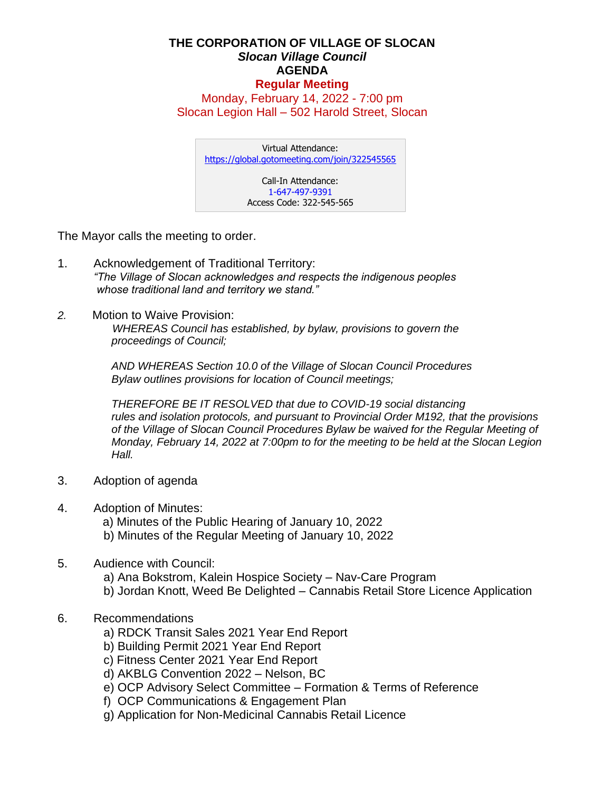## **THE CORPORATION OF VILLAGE OF SLOCAN** *Slocan Village Council*  **AGENDA Regular Meeting**

Monday, February 14, 2022 - 7:00 pm Slocan Legion Hall – 502 Harold Street, Slocan

Virtual Attendance: <https://global.gotomeeting.com/join/322545565> Call-In Attendance: 1-647-497-9391 Access Code: 322-545-565

The Mayor calls the meeting to order.

- 1. Acknowledgement of Traditional Territory: *"The Village of Slocan acknowledges and respects the indigenous peoples whose traditional land and territory we stand."*
- *2.* Motion to Waive Provision:

 *WHEREAS Council has established, by bylaw, provisions to govern the proceedings of Council;*

*AND WHEREAS Section 10.0 of the Village of Slocan Council Procedures Bylaw outlines provisions for location of Council meetings;*

*THEREFORE BE IT RESOLVED that due to COVID-19 social distancing rules and isolation protocols, and pursuant to Provincial Order M192, that the provisions of the Village of Slocan Council Procedures Bylaw be waived for the Regular Meeting of Monday, February 14, 2022 at 7:00pm to for the meeting to be held at the Slocan Legion Hall.*

- 3. Adoption of agenda
- 4. Adoption of Minutes:
	- a) Minutes of the Public Hearing of January 10, 2022
	- b) Minutes of the Regular Meeting of January 10, 2022
- 5. Audience with Council:
	- a) Ana Bokstrom, Kalein Hospice Society Nav-Care Program
	- b) Jordan Knott, Weed Be Delighted Cannabis Retail Store Licence Application
- 6. Recommendations
	- a) RDCK Transit Sales 2021 Year End Report
	- b) Building Permit 2021 Year End Report
	- c) Fitness Center 2021 Year End Report
	- d) AKBLG Convention 2022 Nelson, BC
	- e) OCP Advisory Select Committee Formation & Terms of Reference
	- f) OCP Communications & Engagement Plan
	- g) Application for Non-Medicinal Cannabis Retail Licence